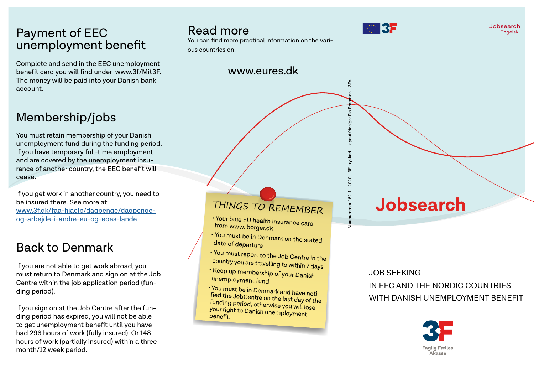#### Payment of EEC unemployment benefit

Complete and send in the EEC unemployment benefit card you will find under www.3f/Mit3F. The money will be paid into your Danish bank account.

### Membership/jobs

You must retain membership of your Danish unemployment fund during the funding period. If you have temporary full-time employment and are covered by the unemployment insurance of another country, the EEC benefit will cease.

If you get work in another country, you need to be insured there. See more at: [www.3f.dk/faa-hjaelp/dagpenge/dagpenge](http://www.3f.dk/faa-hjaelp/dagpenge/dagpenge-og-arbejde-i-andre-eu-og-eoes-lande)[og-arbejde-i-andre-eu-og-eoes-lande](http://www.3f.dk/faa-hjaelp/dagpenge/dagpenge-og-arbejde-i-andre-eu-og-eoes-lande)

#### Back to Denmark

If you are not able to get work abroad, you must return to Denmark and sign on at the Job Centre within the job application period (funding period).

If you sign on at the Job Centre after the funding period has expired, you will not be able to get unemployment benefit until you have had 296 hours of work (fully insured). Or 148 hours of work (partially insured) within a three month/12 week period.

#### Read more

You can find more practical information on the vari-

ous countries on:

#### www.eures.dk



Jobsearch Engelsk

# Varenummer 162-1 - 2020 - 3F-trykkeri - Layout/design: Pia Fransson - 3FA  $\tilde{a}$ Layout/design:  $162 - 1 - 2020 - 3F - trykk$

aren

3FA

## THINGS TO REMEMBER

• Your blue EU health insurance card from www. borger.dk

- You must be in Denmark on the stated date of departure
- You must report to the Job Centre in the country you are travelling to within 7 days
- Keep up membership of your Danish unemployment fund
- You must be in Denmark and have noti fied the JobCentre on the last day of the funding period, otherwise you will lose your right to Danish unemployment benefit.

#### JOB SEEKING

**Jobsearch**

IN EEC AND THE NORDIC COUNTRIES WITH DANISH UNEMPLOYMENT BENEFIT